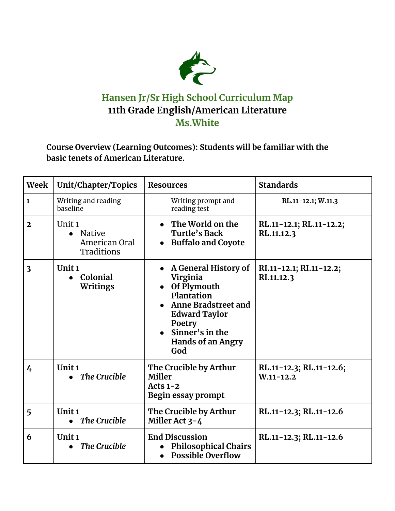

## **Hansen Jr/Sr High School Curriculum Map 11th Grade English/American Literature Ms.White**

**Course Overview (Learning Outcomes): Students will be familiar with the basic tenets of American Literature.**

| Week                    | Unit/Chapter/Topics                                                     | <b>Resources</b>                                                                                                                                                                              | <b>Standards</b>                         |
|-------------------------|-------------------------------------------------------------------------|-----------------------------------------------------------------------------------------------------------------------------------------------------------------------------------------------|------------------------------------------|
| $\mathbf{1}$            | Writing and reading<br>baseline                                         | Writing prompt and<br>reading test                                                                                                                                                            | RL.11-12.1; W.11.3                       |
| $\mathbf{2}$            | Unit <sub>1</sub><br>Native<br>$\bullet$<br>American Oral<br>Traditions | • The World on the<br>Turtle's Back<br><b>Buffalo and Coyote</b>                                                                                                                              | RL.11-12.1; RL.11-12.2;<br>RL.11.12.3    |
| $\overline{\mathbf{3}}$ | Unit <sub>1</sub><br>Colonial<br>$\bullet$<br><b>Writings</b>           | A General History of<br>Virginia<br>Of Plymouth<br>Plantation<br><b>Anne Bradstreet and</b><br><b>Edward Taylor</b><br>Poetry<br>$\bullet$ Sinner's in the<br><b>Hands of an Angry</b><br>God | RI.11-12.1; RI.11-12.2;<br>RI.11.12.3    |
| $\overline{4}$          | Unit <sub>1</sub><br><b>The Crucible</b>                                | The Crucible by Arthur<br>Miller<br>Acts $1-2$<br>Begin essay prompt                                                                                                                          | RL.11-12.3; RL.11-12.6;<br>$W.11 - 12.2$ |
| 5                       | Unit <sub>1</sub><br>$\bullet$ The Crucible                             | The Crucible by Arthur<br>Miller Act 3-4                                                                                                                                                      | RL.11-12.3; RL.11-12.6                   |
| 6                       | Unit <sub>1</sub><br><b>The Crucible</b>                                | <b>End Discussion</b><br><b>Philosophical Chairs</b><br><b>Possible Overflow</b>                                                                                                              | RL.11-12.3; RL.11-12.6                   |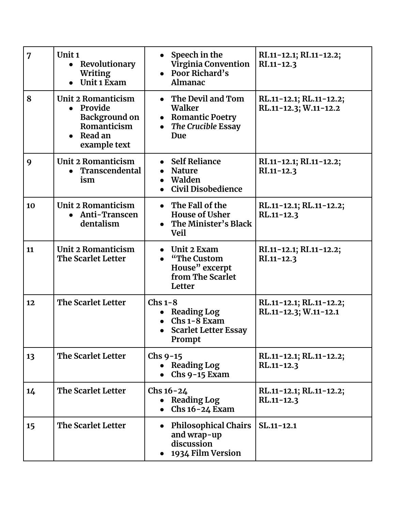| 7  | Unit <sub>1</sub><br>• Revolutionary<br><b>Writing</b><br>Unit 1 Exam<br>$\bullet$                             | Speech in the<br><b>Virginia Convention</b><br>Poor Richard's<br>Almanac                        | RI.11-12.1; RI.11-12.2;<br>$RI.11 - 12.3$        |
|----|----------------------------------------------------------------------------------------------------------------|-------------------------------------------------------------------------------------------------|--------------------------------------------------|
| 8  | Unit 2 Romanticism<br>• Provide<br><b>Background on</b><br>Romanticism<br>Read an<br>$\bullet$<br>example text | The Devil and Tom<br>Walker<br><b>Romantic Poetry</b><br>$\bullet$<br>The Crucible Essay<br>Due | RL.11-12.1; RL.11-12.2;<br>RL.11-12.3; W.11-12.2 |
| 9  | Unit 2 Romanticism<br>Transcendental<br>ism                                                                    | • Self Reliance<br><b>Nature</b><br>Walden<br><b>Civil Disobedience</b>                         | RI.11-12.1; RI.11-12.2;<br>$RI.11 - 12.3$        |
| 10 | Unit 2 Romanticism<br>• Anti-Transcen<br>dentalism                                                             | The Fall of the<br><b>House of Usher</b><br>The Minister's Black<br><b>Veil</b>                 | RL.11-12.1; RL.11-12.2;<br>$RL.11 - 12.3$        |
| 11 | Unit 2 Romanticism<br>The Scarlet Letter                                                                       | Unit 2 Exam<br>"The Custom"<br>House" excerpt<br>from The Scarlet<br>Letter                     | RI.11-12.1; RI.11-12.2;<br>$RI.11 - 12.3$        |
| 12 | The Scarlet Letter                                                                                             | $Chs 1-8$<br><b>Reading Log</b><br>$Chs 1-8 Exam$<br><b>Scarlet Letter Essay</b><br>Prompt      | RL.11-12.1; RL.11-12.2;<br>RL.11-12.3; W.11-12.1 |
| 13 | The Scarlet Letter                                                                                             | Chs $9-15$<br><b>Reading Log</b><br>Chs 9-15 Exam                                               | RL.11-12.1; RL.11-12.2;<br>$RL.11 - 12.3$        |
| 14 | The Scarlet Letter                                                                                             | $Chs 16 - 24$<br><b>Reading Log</b><br>$Chs$ 16-24 Exam                                         | RL.11-12.1; RL.11-12.2;<br>RL.11-12.3            |
| 15 | The Scarlet Letter                                                                                             | <b>Philosophical Chairs</b><br>and wrap-up<br>discussion<br>1934 Film Version                   | $SL.11 - 12.1$                                   |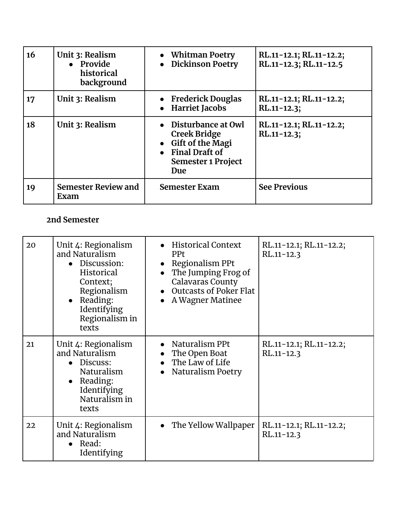| 16 | Unit 3: Realism<br>• Provide<br>historical<br>background | • Whitman Poetry<br><b>Dickinson Poetry</b>                                                                                       | RL.11-12.1; RL.11-12.2;<br>RL.11-12.3; RL.11-12.5 |
|----|----------------------------------------------------------|-----------------------------------------------------------------------------------------------------------------------------------|---------------------------------------------------|
| 17 | Unit 3: Realism                                          | • Frederick Douglas<br>• Harriet Jacobs                                                                                           | RL.11-12.1; RL.11-12.2;<br>$RL.11 - 12.3;$        |
| 18 | Unit 3: Realism                                          | $\bullet$ Disturbance at Owl<br><b>Creek Bridge</b><br>• Gift of the Magi<br>• Final Draft of<br><b>Semester 1 Project</b><br>Due | RL.11-12.1; RL.11-12.2;<br>$RL.11 - 12.3$ ;       |
| 19 | <b>Semester Review and</b><br>Exam                       | <b>Semester Exam</b>                                                                                                              | <b>See Previous</b>                               |

## **2nd Semester**

| 20 | Unit 4: Regionalism<br>and Naturalism<br>• Discussion:<br>Historical<br>Context;<br>Regionalism<br>• Reading:<br>Identifying<br>Regionalism in<br>texts | • Historical Context<br><b>PPt</b><br>Regionalism PPt<br>The Jumping Frog of<br><b>Calavaras County</b><br>• Outcasts of Poker Flat<br>A Wagner Matinee | RL.11-12.1; RL.11-12.2;<br>$RL.11 - 12.3$ |
|----|---------------------------------------------------------------------------------------------------------------------------------------------------------|---------------------------------------------------------------------------------------------------------------------------------------------------------|-------------------------------------------|
| 21 | Unit 4: Regionalism<br>and Naturalism<br>• Discuss:<br><b>Naturalism</b><br>• Reading:<br>Identifying<br>Naturalism in<br>texts                         | • Naturalism PPt<br>The Open Boat<br>• The Law of Life<br>• Naturalism Poetry                                                                           | RL.11-12.1; RL.11-12.2;<br>$RL.11 - 12.3$ |
| 22 | Unit 4: Regionalism<br>and Naturalism<br>$\bullet$ Read:<br>Identifying                                                                                 | • The Yellow Wallpaper                                                                                                                                  | RL.11-12.1; RL.11-12.2;<br>$RL.11 - 12.3$ |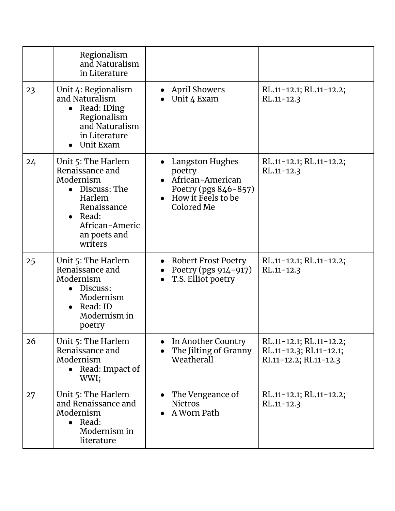|    | Regionalism<br>and Naturalism<br>in Literature                                                                                                                        |                                                                                                             |                                                                              |
|----|-----------------------------------------------------------------------------------------------------------------------------------------------------------------------|-------------------------------------------------------------------------------------------------------------|------------------------------------------------------------------------------|
| 23 | Unit 4: Regionalism<br>and Naturalism<br>Read: IDing<br>Regionalism<br>and Naturalism<br>in Literature<br>Unit Exam                                                   | <b>April Showers</b><br>Unit 4 Exam                                                                         | RL.11-12.1; RL.11-12.2;<br>$RL.11 - 12.3$                                    |
| 24 | Unit 5: The Harlem<br>Renaissance and<br>Modernism<br>$\bullet$ Discuss: The<br>Harlem<br>Renaissance<br>$\bullet$ Read:<br>African-Americ<br>an poets and<br>writers | Langston Hughes<br>poetry<br>• African-American<br>Poetry (pgs 846-857)<br>How it Feels to be<br>Colored Me | RL.11-12.1; RL.11-12.2;<br>$RL.11 - 12.3$                                    |
| 25 | Unit 5: The Harlem<br>Renaissance and<br>Modernism<br>• Discuss:<br>Modernism<br>• Read: ID<br>Modernism in<br>poetry                                                 | • Robert Frost Poetry<br>Poetry (pgs 914-917)<br>T.S. Elliot poetry<br>$\bullet$                            | RL.11-12.1; RL.11-12.2;<br>$RL.11 - 12.3$                                    |
| 26 | Unit 5: The Harlem<br>Renaissance and<br>Modernism<br>• Read: Impact of<br>WWI;                                                                                       | In Another Country<br>The Jilting of Granny<br>Weatherall                                                   | RL.11-12.1; RL.11-12.2;<br>RL.11-12.3; RI.11-12.1;<br>RI.11-12.2; RI.11-12.3 |
| 27 | Unit 5: The Harlem<br>and Renaissance and<br>Modernism<br>$\bullet$ Read:<br>Modernism in<br>literature                                                               | The Vengeance of<br><b>Nictros</b><br>A Worn Path                                                           | RL.11-12.1; RL.11-12.2;<br>$RL.11 - 12.3$                                    |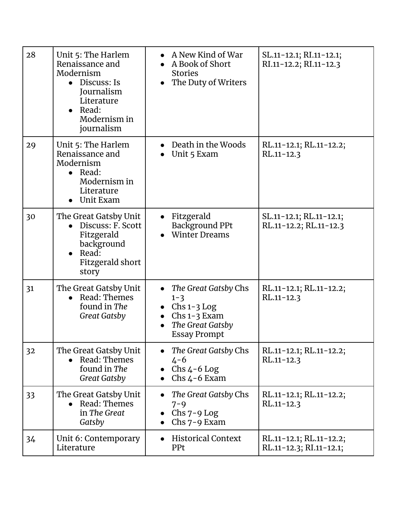| 28 | Unit 5: The Harlem<br>Renaissance and<br>Modernism<br>$\bullet$ Discuss: Is<br>Journalism<br>Literature<br>Read:<br>$\bullet$<br>Modernism in<br>journalism | A New Kind of War<br>A Book of Short<br><b>Stories</b><br>The Duty of Writers                                              | SL.11-12.1; RI.11-12.1;<br>RI.11-12.2; RI.11-12.3  |
|----|-------------------------------------------------------------------------------------------------------------------------------------------------------------|----------------------------------------------------------------------------------------------------------------------------|----------------------------------------------------|
| 29 | Unit 5: The Harlem<br>Renaissance and<br>Modernism<br>$\bullet$ Read:<br>Modernism in<br>Literature<br>Unit Exam                                            | Death in the Woods<br>Unit 5 Exam                                                                                          | RL.11-12.1; RL.11-12.2;<br>$RL.11 - 12.3$          |
| 30 | The Great Gatsby Unit<br>Discuss: F. Scott<br>Fitzgerald<br>background<br>Read:<br>Fitzgerald short<br>story                                                | Fitzgerald<br><b>Background PPt</b><br><b>Winter Dreams</b>                                                                | SL.11-12.1; RL.11-12.1;<br>RL.11-12.2; RL.11-12.3  |
| 31 | The Great Gatsby Unit<br>Read: Themes<br>found in The<br><b>Great Gatsby</b>                                                                                | The Great Gatsby Chs<br>$1 - 3$<br>$Chs 1-3 Log$<br>$Chs 1-3 Exam$<br>$\bullet$<br>The Great Gatsby<br><b>Essay Prompt</b> | RL.11-12.1; RL.11-12.2;<br>RL.11-12.3              |
| 32 | The Great Gatsby Unit<br>Read: Themes<br>found in The<br><b>Great Gatsby</b>                                                                                | The Great Gatsby Chs<br>$4 - 6$<br>Chs $4-6$ Log<br>Chs $4-6$ Exam                                                         | RL.11-12.1; RL.11-12.2;<br>$RL.11 - 12.3$          |
| 33 | The Great Gatsby Unit<br>Read: Themes<br>$\bullet$<br>in The Great<br>Gatsby                                                                                | The Great Gatsby Chs<br>$7 - 9$<br>$Chs$ 7-9 Log<br>Chs $7-9$ Exam                                                         | RL.11-12.1; RL.11-12.2;<br>$RL.11 - 12.3$          |
| 34 | Unit 6: Contemporary<br>Literature                                                                                                                          | <b>Historical Context</b><br><b>PPt</b>                                                                                    | RL.11-12.1; RL.11-12.2;<br>RL.11-12.3; RI.11-12.1; |